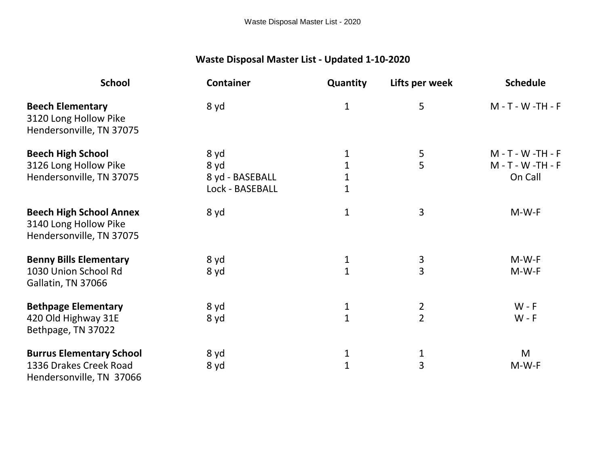## **Waste Disposal Master List - Updated 1-10-2020**

| <b>School</b>                                                                       | <b>Container</b> | Quantity     | Lifts per week | <b>Schedule</b>    |
|-------------------------------------------------------------------------------------|------------------|--------------|----------------|--------------------|
| <b>Beech Elementary</b><br>3120 Long Hollow Pike<br>Hendersonville, TN 37075        | 8 yd             | $\mathbf{1}$ | 5              | M - T - W -TH - F  |
| <b>Beech High School</b>                                                            | 8 yd             | 1            | 5              | M - T - W -TH - F  |
| 3126 Long Hollow Pike                                                               | 8 yd             | $\mathbf 1$  | 5              | M - T - W - TH - F |
| Hendersonville, TN 37075                                                            | 8 yd - BASEBALL  | $\mathbf{1}$ |                | On Call            |
|                                                                                     | Lock - BASEBALL  | $\mathbf{1}$ |                |                    |
| <b>Beech High School Annex</b><br>3140 Long Hollow Pike<br>Hendersonville, TN 37075 | 8 yd             | $\mathbf{1}$ | 3              | $M-W-F$            |
| <b>Benny Bills Elementary</b>                                                       | 8 yd             | $\mathbf{1}$ | 3              | $M-W-F$            |
| 1030 Union School Rd<br>Gallatin, TN 37066                                          | 8 yd             | $\mathbf{1}$ | $\overline{3}$ | $M-W-F$            |
| <b>Bethpage Elementary</b>                                                          | 8 yd             | 1            | $\overline{2}$ | $W - F$            |
| 420 Old Highway 31E<br>Bethpage, TN 37022                                           | 8 yd             | $\mathbf{1}$ | $\overline{2}$ | $W - F$            |
| <b>Burrus Elementary School</b>                                                     | 8 yd             | 1            |                | M                  |
| 1336 Drakes Creek Road<br>Hendersonville, TN 37066                                  | 8 yd             | $\mathbf{1}$ | $\frac{1}{3}$  | $M-W-F$            |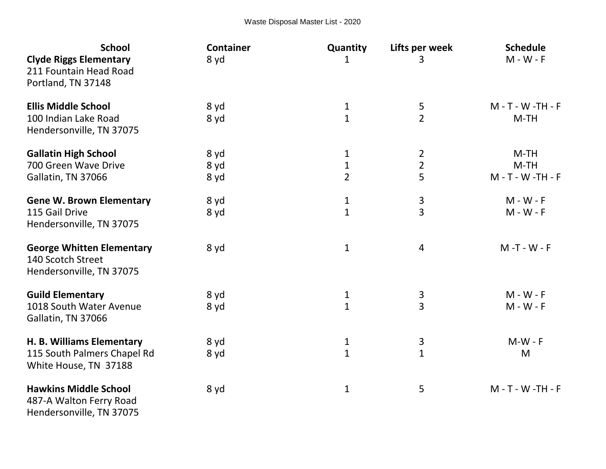| <b>School</b><br><b>Clyde Riggs Elementary</b><br>211 Fountain Head Road            | <b>Container</b><br>8 yd | Quantity<br>1  | Lifts per week<br>3 | <b>Schedule</b><br>$M - W - F$ |
|-------------------------------------------------------------------------------------|--------------------------|----------------|---------------------|--------------------------------|
| Portland, TN 37148                                                                  |                          |                |                     |                                |
| <b>Ellis Middle School</b>                                                          | 8 yd                     | $\mathbf{1}$   | 5                   | M - T - W - TH - F             |
| 100 Indian Lake Road<br>Hendersonville, TN 37075                                    | 8 yd                     | $\overline{1}$ | $\overline{2}$      | $M-TH$                         |
| <b>Gallatin High School</b>                                                         | 8 yd                     | 1              | $\overline{2}$      | $M-TH$                         |
| 700 Green Wave Drive                                                                | 8 yd                     | 1              | $\overline{2}$      | $M-TH$                         |
| Gallatin, TN 37066                                                                  | 8 yd                     | $\overline{2}$ | 5                   | M - T - W - TH - F             |
| <b>Gene W. Brown Elementary</b>                                                     | 8 yd                     | 1              | 3                   | $M - W - F$                    |
| 115 Gail Drive                                                                      | 8 yd                     | $\overline{1}$ | 3                   | $M - W - F$                    |
| Hendersonville, TN 37075                                                            |                          |                |                     |                                |
| <b>George Whitten Elementary</b><br>140 Scotch Street                               | 8 yd                     | $\mathbf 1$    | $\overline{4}$      | M-T-W-F                        |
| Hendersonville, TN 37075                                                            |                          |                |                     |                                |
| <b>Guild Elementary</b>                                                             | 8 yd                     | 1              |                     | $M - W - F$                    |
| 1018 South Water Avenue<br>Gallatin, TN 37066                                       | 8 yd                     | $\overline{1}$ | $\frac{3}{3}$       | $M - W - F$                    |
| H. B. Williams Elementary                                                           | 8 yd                     | $\mathbf{1}$   | 3                   | $M-W - F$                      |
| 115 South Palmers Chapel Rd<br>White House, TN 37188                                | 8 yd                     | $\mathbf{1}$   | $\mathbf{1}$        | M                              |
| <b>Hawkins Middle School</b><br>487-A Walton Ferry Road<br>Hendersonville, TN 37075 | 8 yd                     | $\mathbf{1}$   | 5                   | M - T - W - TH - F             |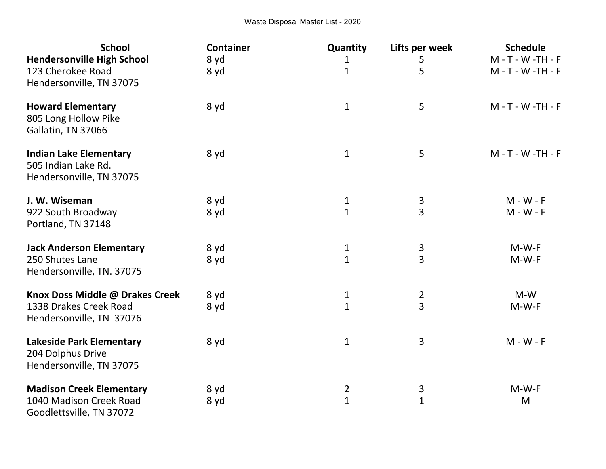| <b>School</b>                                                                    | <b>Container</b> | Quantity       | Lifts per week | <b>Schedule</b>    |
|----------------------------------------------------------------------------------|------------------|----------------|----------------|--------------------|
| <b>Hendersonville High School</b>                                                | 8 yd             | 1              | 5              | M - T - W -TH - F  |
| 123 Cherokee Road<br>Hendersonville, TN 37075                                    | 8 yd             | $\mathbf{1}$   | 5              | M - T - W -TH - F  |
| <b>Howard Elementary</b><br>805 Long Hollow Pike<br>Gallatin, TN 37066           | 8 yd             | $\mathbf{1}$   | 5              | M - T - W -TH - F  |
| <b>Indian Lake Elementary</b><br>505 Indian Lake Rd.<br>Hendersonville, TN 37075 | 8 yd             | $\mathbf{1}$   | 5              | M - T - W - TH - F |
| J. W. Wiseman                                                                    | 8 yd             | $\mathbf{1}$   | 3              | $M - W - F$        |
| 922 South Broadway<br>Portland, TN 37148                                         | 8 yd             | $\mathbf{1}$   | $\overline{3}$ | $M - W - F$        |
| <b>Jack Anderson Elementary</b>                                                  | 8 yd             | $\mathbf{1}$   |                | $M-W-F$            |
| 250 Shutes Lane<br>Hendersonville, TN. 37075                                     | 8 yd             | $\mathbf{1}$   | $\frac{3}{3}$  | $M-W-F$            |
| Knox Doss Middle @ Drakes Creek                                                  | 8 yd             | $\mathbf{1}$   | $\overline{2}$ | $M-W$              |
| 1338 Drakes Creek Road<br>Hendersonville, TN 37076                               | 8 yd             | $\mathbf{1}$   | $\overline{3}$ | $M-W-F$            |
| <b>Lakeside Park Elementary</b><br>204 Dolphus Drive<br>Hendersonville, TN 37075 | 8 yd             | $\mathbf{1}$   | 3              | $M - W - F$        |
| <b>Madison Creek Elementary</b>                                                  | 8 yd             | $\overline{2}$ | 3              | $M-W-F$            |
| 1040 Madison Creek Road<br>Goodlettsville, TN 37072                              | 8 yd             | $\mathbf{1}$   | $\overline{1}$ | M                  |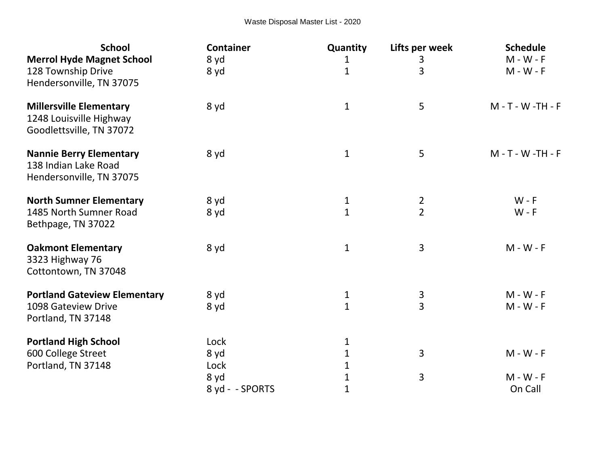| <b>School</b><br><b>Merrol Hyde Magnet School</b>                                     | <b>Container</b><br>8 yd | Quantity<br>1  | Lifts per week<br>3 | <b>Schedule</b><br>$M - W - F$ |
|---------------------------------------------------------------------------------------|--------------------------|----------------|---------------------|--------------------------------|
| 128 Township Drive<br>Hendersonville, TN 37075                                        | 8 yd                     | $\overline{1}$ | 3                   | $M - W - F$                    |
| <b>Millersville Elementary</b><br>1248 Louisville Highway<br>Goodlettsville, TN 37072 | 8 yd                     | $\mathbf{1}$   | 5                   | M - T - W -TH - F              |
| <b>Nannie Berry Elementary</b><br>138 Indian Lake Road<br>Hendersonville, TN 37075    | 8 yd                     | $\mathbf{1}$   | 5                   | M - T - W - TH - F             |
| <b>North Sumner Elementary</b>                                                        | 8 yd                     | $\mathbf{1}$   | $\overline{2}$      | $W - F$                        |
| 1485 North Sumner Road<br>Bethpage, TN 37022                                          | 8 yd                     | $\mathbf{1}$   | $\overline{2}$      | $W - F$                        |
| <b>Oakmont Elementary</b><br>3323 Highway 76<br>Cottontown, TN 37048                  | 8 yd                     | $\mathbf{1}$   | 3                   | $M - W - F$                    |
| <b>Portland Gateview Elementary</b>                                                   | 8 yd                     | 1              | 3                   | $M - W - F$                    |
| 1098 Gateview Drive<br>Portland, TN 37148                                             | 8 yd                     | $\mathbf{1}$   | $\overline{3}$      | $M - W - F$                    |
| <b>Portland High School</b>                                                           | Lock                     | 1              |                     |                                |
| 600 College Street                                                                    | 8 yd                     | $\mathbf{1}$   | 3                   | $M - W - F$                    |
| Portland, TN 37148                                                                    | Lock                     | 1              |                     |                                |
|                                                                                       | 8 yd                     | 1              | 3                   | $M - W - F$                    |
|                                                                                       | 8 yd - - SPORTS          | $\mathbf 1$    |                     | On Call                        |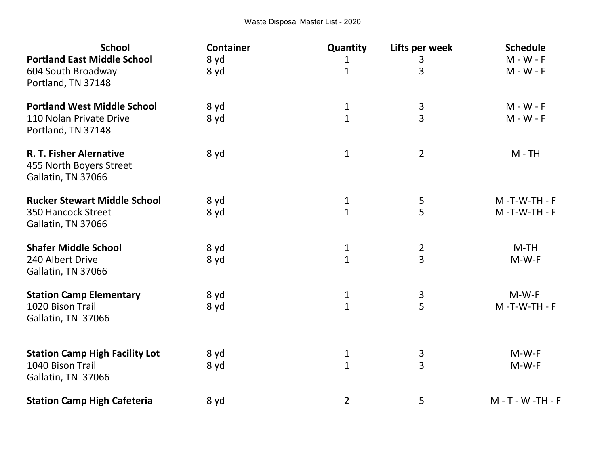| <b>School</b>                                                            | <b>Container</b> | Quantity       | Lifts per week | <b>Schedule</b>      |
|--------------------------------------------------------------------------|------------------|----------------|----------------|----------------------|
| <b>Portland East Middle School</b>                                       | 8 yd             | 1              | 3              | $M - W - F$          |
| 604 South Broadway<br>Portland, TN 37148                                 | 8 yd             | $\mathbf{1}$   | 3              | $M - W - F$          |
| <b>Portland West Middle School</b>                                       | 8 yd             | $\mathbf{1}$   | $\frac{3}{3}$  | $M - W - F$          |
| 110 Nolan Private Drive<br>Portland, TN 37148                            | 8 yd             | $\mathbf{1}$   |                | $M - W - F$          |
| R. T. Fisher Alernative<br>455 North Boyers Street<br>Gallatin, TN 37066 | 8 yd             | 1              | $\overline{2}$ | $M - TH$             |
| <b>Rucker Stewart Middle School</b>                                      | 8 yd             | 1              | 5              | $M - T - W - TH - F$ |
| 350 Hancock Street<br>Gallatin, TN 37066                                 | 8 yd             | $\mathbf{1}$   | 5              | $M - T - W - TH - F$ |
| <b>Shafer Middle School</b>                                              | 8 yd             | 1              |                | $M-TH$               |
| 240 Albert Drive<br>Gallatin, TN 37066                                   | 8 yd             | $\overline{1}$ | $\frac{2}{3}$  | $M-W-F$              |
| <b>Station Camp Elementary</b>                                           | 8 yd             | $\mathbf{1}$   | $\overline{3}$ | $M-W-F$              |
| 1020 Bison Trail<br>Gallatin, TN 37066                                   | 8 yd             | $\mathbf{1}$   | 5              | $M - T - W - TH - F$ |
| <b>Station Camp High Facility Lot</b>                                    | 8 yd             | 1              | 3              | $M-W-F$              |
| 1040 Bison Trail<br>Gallatin, TN 37066                                   | 8 yd             | $\mathbf{1}$   | $\overline{3}$ | $M-W-F$              |
| <b>Station Camp High Cafeteria</b>                                       | 8 yd             | $\overline{2}$ | 5              | M - T - W -TH - F    |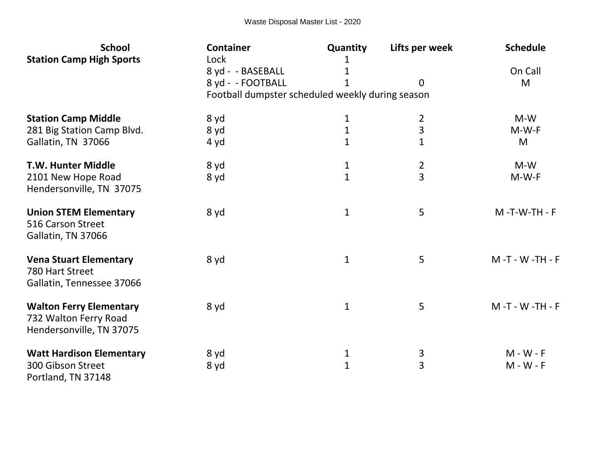| <b>School</b><br><b>Station Camp High Sports</b>                                    | <b>Container</b><br>Lock                         | Quantity<br>1     | Lifts per week | <b>Schedule</b>            |
|-------------------------------------------------------------------------------------|--------------------------------------------------|-------------------|----------------|----------------------------|
|                                                                                     | 8 yd - - BASEBALL                                | 1                 |                | On Call                    |
|                                                                                     | 8 yd - - FOOTBALL                                |                   | $\Omega$       | M                          |
|                                                                                     | Football dumpster scheduled weekly during season |                   |                |                            |
| <b>Station Camp Middle</b>                                                          | 8 yd                                             | 1                 | $\overline{2}$ | $M-W$                      |
| 281 Big Station Camp Blvd.                                                          | 8 yd                                             | $\mathbf{1}$      | 3              | $M-W-F$                    |
| Gallatin, TN 37066                                                                  | 4 yd                                             | $\mathbf{1}$      | 1              | M                          |
| <b>T.W. Hunter Middle</b>                                                           | 8 yd                                             | 1                 | $\overline{2}$ | $M-W$                      |
| 2101 New Hope Road<br>Hendersonville, TN 37075                                      | 8 yd                                             | $\mathbf{1}$      | $\overline{3}$ | $M-W-F$                    |
| <b>Union STEM Elementary</b><br>516 Carson Street<br>Gallatin, TN 37066             | 8 yd                                             | $\mathbf{1}$      | 5              | $M - T - W - TH - F$       |
| <b>Vena Stuart Elementary</b><br>780 Hart Street<br>Gallatin, Tennessee 37066       | 8 yd                                             | $\mathbf{1}$      | 5              | M-T-W-TH-F                 |
| <b>Walton Ferry Elementary</b><br>732 Walton Ferry Road<br>Hendersonville, TN 37075 | 8 yd                                             | $\mathbf{1}$      | 5              | M-T-W-TH-F                 |
| <b>Watt Hardison Elementary</b><br>300 Gibson Street<br>Portland, TN 37148          | 8 yd<br>8 yd                                     | 1<br>$\mathbf{1}$ | 3<br>3         | $M - W - F$<br>$M - W - F$ |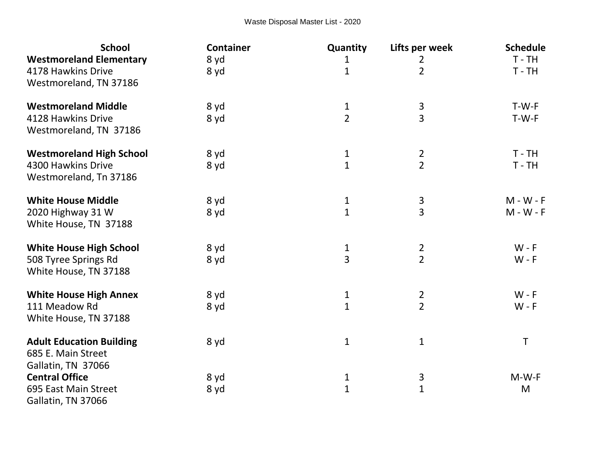| <b>School</b>                   | <b>Container</b> | Quantity       | Lifts per week | <b>Schedule</b> |
|---------------------------------|------------------|----------------|----------------|-----------------|
| <b>Westmoreland Elementary</b>  | 8 yd             | $\mathbf{1}$   | $\overline{2}$ | $T - TH$        |
| 4178 Hawkins Drive              | 8 yd             | $\mathbf{1}$   | $\overline{2}$ | $T - TH$        |
| Westmoreland, TN 37186          |                  |                |                |                 |
| <b>Westmoreland Middle</b>      | 8 yd             | $\mathbf{1}$   | $\mathbf{3}$   | T-W-F           |
| 4128 Hawkins Drive              | 8 yd             | $\overline{2}$ | 3              | T-W-F           |
| Westmoreland, TN 37186          |                  |                |                |                 |
| <b>Westmoreland High School</b> | 8 yd             | $\mathbf{1}$   | $\overline{2}$ | $T - TH$        |
| 4300 Hawkins Drive              | 8 yd             | $\mathbf{1}$   | $\overline{2}$ | $T - TH$        |
| Westmoreland, Tn 37186          |                  |                |                |                 |
| <b>White House Middle</b>       | 8 yd             | $\mathbf{1}$   |                | $M - W - F$     |
| 2020 Highway 31 W               | 8 yd             | $\mathbf{1}$   | $\frac{3}{3}$  | $M - W - F$     |
| White House, TN 37188           |                  |                |                |                 |
| <b>White House High School</b>  | 8 yd             | 1              | $\overline{2}$ | $W - F$         |
| 508 Tyree Springs Rd            | 8 yd             | $\overline{3}$ | $\overline{2}$ | $W - F$         |
| White House, TN 37188           |                  |                |                |                 |
| <b>White House High Annex</b>   | 8 yd             | $\mathbf{1}$   | $\overline{2}$ | $W - F$         |
| 111 Meadow Rd                   | 8 yd             | $\mathbf{1}$   | $\overline{2}$ | $W - F$         |
| White House, TN 37188           |                  |                |                |                 |
| <b>Adult Education Building</b> | 8 yd             | $\mathbf 1$    | $\mathbf 1$    | Τ               |
| 685 E. Main Street              |                  |                |                |                 |
| Gallatin, TN 37066              |                  |                |                |                 |
| <b>Central Office</b>           | 8 yd             | $\mathbf{1}$   | $\mathbf{3}$   | $M-W-F$         |
| 695 East Main Street            | 8 yd             | $\mathbf{1}$   | $\overline{1}$ | M               |
| Gallatin, TN 37066              |                  |                |                |                 |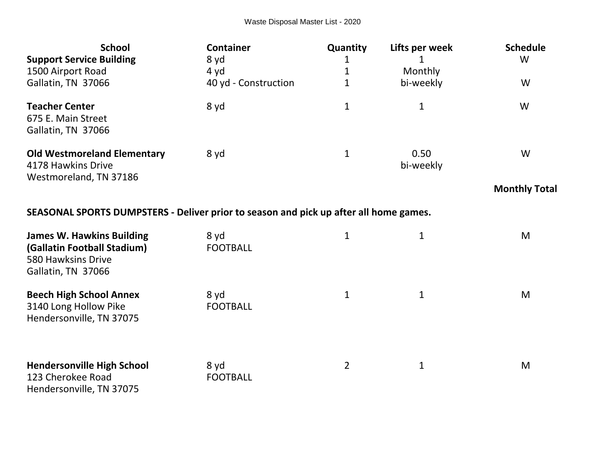| <b>School</b><br><b>Support Service Building</b><br>1500 Airport Road<br>Gallatin, TN 37066 | <b>Container</b><br>8 yd<br>4 yd<br>40 yd - Construction | Quantity<br>1 | Lifts per week<br>Monthly<br>bi-weekly | <b>Schedule</b><br>W<br>W |
|---------------------------------------------------------------------------------------------|----------------------------------------------------------|---------------|----------------------------------------|---------------------------|
| <b>Teacher Center</b><br>675 E. Main Street<br>Gallatin, TN 37066                           | 8 yd                                                     | 1             | 1                                      | W                         |
| <b>Old Westmoreland Elementary</b><br>4178 Hawkins Drive<br>Westmoreland, TN 37186          | 8 yd                                                     | 1             | 0.50<br>bi-weekly                      | W<br><b>Monthly Total</b> |

## **SEASONAL SPORTS DUMPSTERS - Deliver prior to season and pick up after all home games.**

| <b>James W. Hawkins Building</b><br>(Gallatin Football Stadium)<br>580 Hawksins Drive<br>Gallatin, TN 37066 | 8 yd<br><b>FOOTBALL</b> |                |             | M |
|-------------------------------------------------------------------------------------------------------------|-------------------------|----------------|-------------|---|
| <b>Beech High School Annex</b><br>3140 Long Hollow Pike<br>Hendersonville, TN 37075                         | 8 yd<br><b>FOOTBALL</b> |                | 1           | M |
| <b>Hendersonville High School</b><br>123 Cherokee Road<br>Hendersonville, TN 37075                          | 8 yd<br><b>FOOTBALL</b> | $\overline{2}$ | $\mathbf 1$ | M |